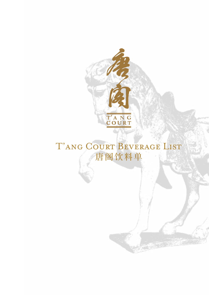

T'ANG COURT BEVERAGE LIST 唐阁饮料单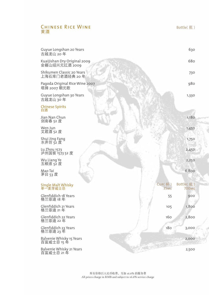## Chinese Rice Wine 黄酒

| Guyue Longshan 20 Years<br>古越龙山 20年                    |     | 630                       |
|--------------------------------------------------------|-----|---------------------------|
| Kuaijishan Dry Original 2009<br>会籍山绍兴元红酒 2009          |     | 680                       |
| Shikumen Classic 20 Years<br>上海石库门老酒经典 20 年            |     | 730                       |
| Pagoda Original Rice Wine 2007<br>塔牌 2007 朝元歌          |     | 980                       |
| Guyue Longshan 30 Years<br>古越龙山 30年                    |     | 1,330                     |
| Chinese Spirits<br>白酒                                  |     |                           |
| Jian Nan Chun<br>剑南春 52 度                              |     | 1,180                     |
| Wen Jun<br>文君酒 52 度                                    |     | 1,450                     |
| Shui Jing Fang<br>水井坊 52 度                             |     | 1,750                     |
| Lu Zhou 1573<br>泸州国窖 1573 52 度                         |     | 2,450                     |
| Wu Liang Ye<br>五粮液 52 度                                |     | 2,250                     |
| Mao Tai<br>茅台 53 度                                     |     | 6,800                     |
| CUP(杯)<br>Single Malt Whisky<br>单一麦芽威士忌<br><b>35ML</b> |     | Bottle(瓶)<br><b>700ML</b> |
| Glenfiddich 18 Years<br>格兰菲迪 18年                       | 55  | 900                       |
| Glenfiddich 21 Years<br>格兰菲迪 21年                       | 105 | 1,800                     |
| Glenfiddich 22 Years<br>160<br>格兰菲迪 22年                |     | 2,800                     |
| Glenfiddich 23 Years<br>格兰菲迪 23 年<br>18 <sub>O</sub>   |     | 3,000                     |
| Balvenie Whisky 15 Years<br>百富威士忌 15 年                 |     | 2,000                     |
| Balvenie Whisky 21 Years<br>百富威士忌 21 年                 |     | 2,500                     |

Bottle(瓶)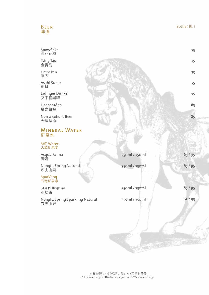# Beer 啤酒

75

75

75

75

95

85

85

| Snowflake |  |
|-----------|--|
| 雪花花脸      |  |

Tsing Tao 金青岛

Heineken 喜力

Asahi Super 朝日

Erdinger Dunkel 艾丁格黑啤

Hoegaarden 福嘉白啤

Non-alcoholic Beer 无醇啤酒

# Mineral Water 矿泉水

#### Still Water 天然矿泉水

| Acqua Panna<br>普娜                       | 250ml / 750ml | 65/95   |
|-----------------------------------------|---------------|---------|
| Nongfu Spring Natural<br>农夫山泉           | 350ml / 750ml | 65/95   |
| Sparkling<br>气泡矿泉水                      |               |         |
| San Pellegrino<br>圣培露                   | 250ml / 750ml | 65/95   |
| Nongfu Spring Sparkling Natural<br>农夫山泉 | 350ml / 750ml | 65 / 95 |
|                                         |               |         |